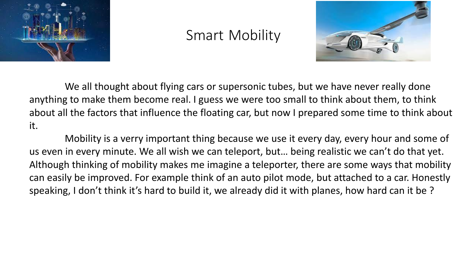

## Smart Mobility



We all thought about flying cars or supersonic tubes, but we have never really done anything to make them become real. I guess we were too small to think about them, to think about all the factors that influence the floating car, but now I prepared some time to think about it.

Mobility is a verry important thing because we use it every day, every hour and some of us even in every minute. We all wish we can teleport, but… being realistic we can't do that yet. Although thinking of mobility makes me imagine a teleporter, there are some ways that mobility can easily be improved. For example think of an auto pilot mode, but attached to a car. Honestly speaking, I don't think it's hard to build it, we already did it with planes, how hard can it be ?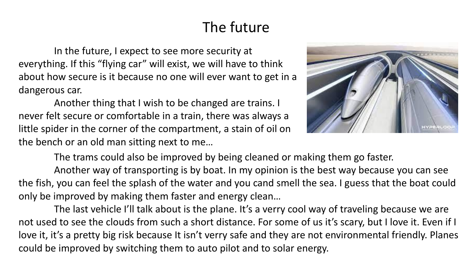## The future

In the future, I expect to see more security at everything. If this "flying car" will exist, we will have to think about how secure is it because no one will ever want to get in a dangerous car.

Another thing that I wish to be changed are trains. I never felt secure or comfortable in a train, there was always a little spider in the corner of the compartment, a stain of oil on the bench or an old man sitting next to me…



The trams could also be improved by being cleaned or making them go faster.

Another way of transporting is by boat. In my opinion is the best way because you can see the fish, you can feel the splash of the water and you cand smell the sea. I guess that the boat could only be improved by making them faster and energy clean…

The last vehicle I'll talk about is the plane. It's a verry cool way of traveling because we are not used to see the clouds from such a short distance. For some of us it's scary, but I love it. Even if I love it, it's a pretty big risk because It isn't verry safe and they are not environmental friendly. Planes could be improved by switching them to auto pilot and to solar energy.